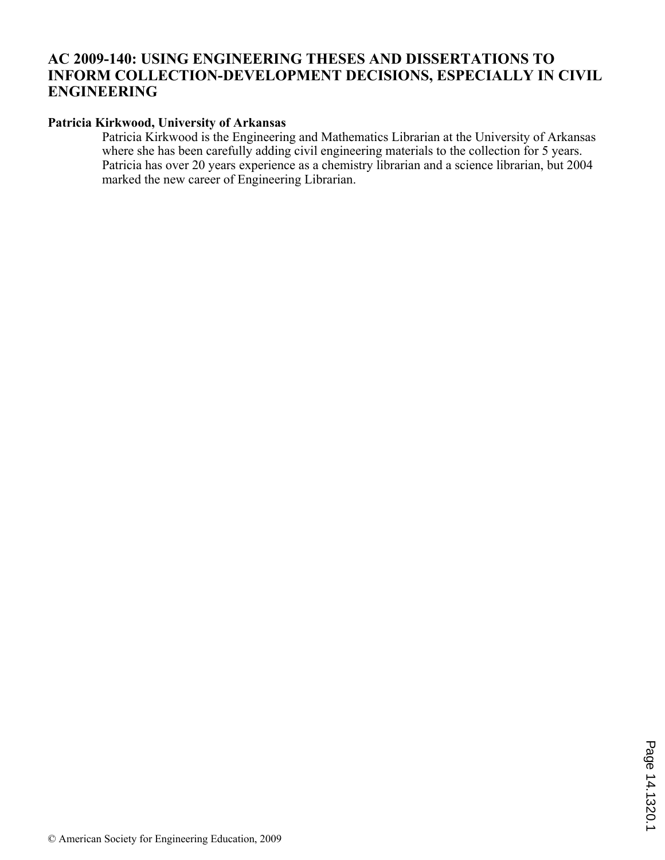# **AC 2009-140: USING ENGINEERING THESES AND DISSERTATIONS TO INFORM COLLECTION-DEVELOPMENT DECISIONS, ESPECIALLY IN CIVIL ENGINEERING**

## **Patricia Kirkwood, University of Arkansas**

Patricia Kirkwood is the Engineering and Mathematics Librarian at the University of Arkansas where she has been carefully adding civil engineering materials to the collection for 5 years. Patricia has over 20 years experience as a chemistry librarian and a science librarian, but 2004 marked the new career of Engineering Librarian.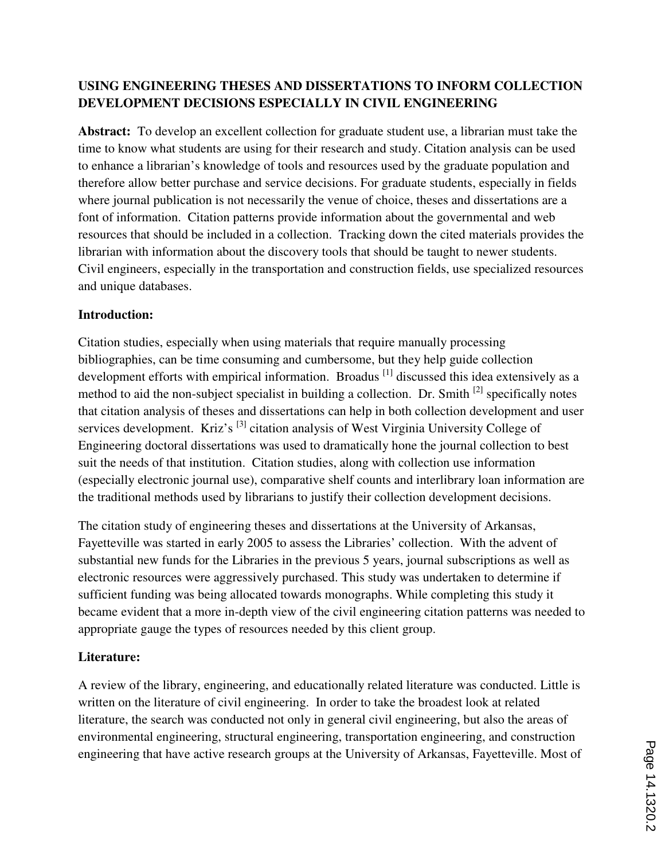# **USING ENGINEERING THESES AND DISSERTATIONS TO INFORM COLLECTION DEVELOPMENT DECISIONS ESPECIALLY IN CIVIL ENGINEERING**

**Abstract:** To develop an excellent collection for graduate student use, a librarian must take the time to know what students are using for their research and study. Citation analysis can be used to enhance a librarian's knowledge of tools and resources used by the graduate population and therefore allow better purchase and service decisions. For graduate students, especially in fields where journal publication is not necessarily the venue of choice, theses and dissertations are a font of information. Citation patterns provide information about the governmental and web resources that should be included in a collection. Tracking down the cited materials provides the librarian with information about the discovery tools that should be taught to newer students. Civil engineers, especially in the transportation and construction fields, use specialized resources and unique databases.

## **Introduction:**

Citation studies, especially when using materials that require manually processing bibliographies, can be time consuming and cumbersome, but they help guide collection development efforts with empirical information. Broadus <sup>[1]</sup> discussed this idea extensively as a method to aid the non-subject specialist in building a collection. Dr. Smith <sup>[2]</sup> specifically notes that citation analysis of theses and dissertations can help in both collection development and user services development. Kriz's <sup>[3]</sup> citation analysis of West Virginia University College of Engineering doctoral dissertations was used to dramatically hone the journal collection to best suit the needs of that institution. Citation studies, along with collection use information (especially electronic journal use), comparative shelf counts and interlibrary loan information are the traditional methods used by librarians to justify their collection development decisions.

The citation study of engineering theses and dissertations at the University of Arkansas, Fayetteville was started in early 2005 to assess the Libraries' collection. With the advent of substantial new funds for the Libraries in the previous 5 years, journal subscriptions as well as electronic resources were aggressively purchased. This study was undertaken to determine if sufficient funding was being allocated towards monographs. While completing this study it became evident that a more in-depth view of the civil engineering citation patterns was needed to appropriate gauge the types of resources needed by this client group.

## **Literature:**

A review of the library, engineering, and educationally related literature was conducted. Little is written on the literature of civil engineering. In order to take the broadest look at related literature, the search was conducted not only in general civil engineering, but also the areas of environmental engineering, structural engineering, transportation engineering, and construction engineering that have active research groups at the University of Arkansas, Fayetteville. Most of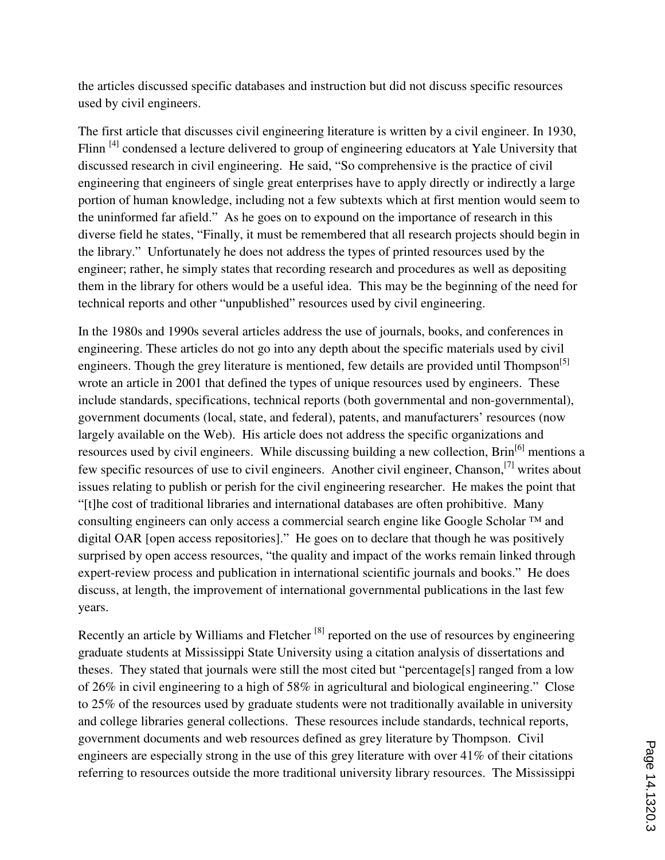the articles discussed specific databases and instruction but did not discuss specific resources used by civil engineers.

The first article that discusses civil engineering literature is written by a civil engineer. In 1930, Flinn <sup>[4]</sup> condensed a lecture delivered to group of engineering educators at Yale University that discussed research in civil engineering. He said, "So comprehensive is the practice of civil engineering that engineers of single great enterprises have to apply directly or indirectly a large portion of human knowledge, including not a few subtexts which at first mention would seem to the uninformed far afield." As he goes on to expound on the importance of research in this diverse field he states, "Finally, it must be remembered that all research projects should begin in the library." Unfortunately he does not address the types of printed resources used by the engineer; rather, he simply states that recording research and procedures as well as depositing them in the library for others would be a useful idea. This may be the beginning of the need for technical reports and other "unpublished" resources used by civil engineering.

In the 1980s and 1990s several articles address the use of journals, books, and conferences in engineering. These articles do not go into any depth about the specific materials used by civil engineers. Though the grey literature is mentioned, few details are provided until Thompson<sup>[5]</sup> wrote an article in 2001 that defined the types of unique resources used by engineers. These include standards, specifications, technical reports (both governmental and non-governmental), government documents (local, state, and federal), patents, and manufacturers' resources (now largely available on the Web). His article does not address the specific organizations and resources used by civil engineers. While discussing building a new collection, Brin<sup>[6]</sup> mentions a few specific resources of use to civil engineers. Another civil engineer, Chanson,[7] writes about issues relating to publish or perish for the civil engineering researcher. He makes the point that "[t]he cost of traditional libraries and international databases are often prohibitive. Many consulting engineers can only access a commercial search engine like Google Scholar ™ and digital OAR [open access repositories]." He goes on to declare that though he was positively surprised by open access resources, "the quality and impact of the works remain linked through expert-review process and publication in international scientific journals and books." He does discuss, at length, the improvement of international governmental publications in the last few years.

Recently an article by Williams and Fletcher<sup>[8]</sup> reported on the use of resources by engineering graduate students at Mississippi State University using a citation analysis of dissertations and theses. They stated that journals were still the most cited but "percentage[s] ranged from a low of 26% in civil engineering to a high of 58% in agricultural and biological engineering." Close to 25% of the resources used by graduate students were not traditionally available in university and college libraries general collections. These resources include standards, technical reports, government documents and web resources defined as grey literature by Thompson. Civil engineers are especially strong in the use of this grey literature with over 41% of their citations referring to resources outside the more traditional university library resources. The Mississippi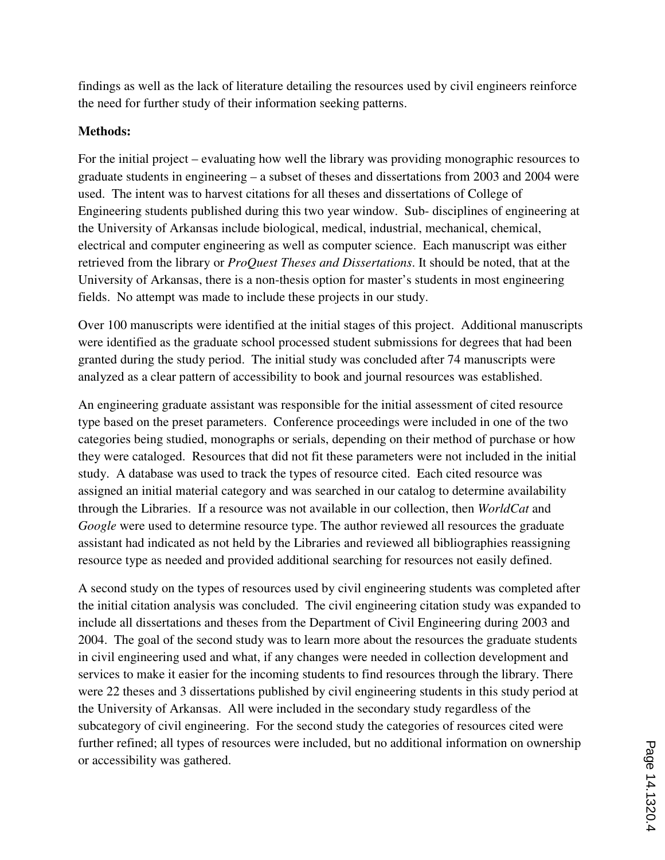findings as well as the lack of literature detailing the resources used by civil engineers reinforce the need for further study of their information seeking patterns.

## **Methods:**

For the initial project – evaluating how well the library was providing monographic resources to graduate students in engineering – a subset of theses and dissertations from 2003 and 2004 were used. The intent was to harvest citations for all theses and dissertations of College of Engineering students published during this two year window. Sub- disciplines of engineering at the University of Arkansas include biological, medical, industrial, mechanical, chemical, electrical and computer engineering as well as computer science. Each manuscript was either retrieved from the library or *ProQuest Theses and Dissertations*. It should be noted, that at the University of Arkansas, there is a non-thesis option for master's students in most engineering fields. No attempt was made to include these projects in our study.

Over 100 manuscripts were identified at the initial stages of this project. Additional manuscripts were identified as the graduate school processed student submissions for degrees that had been granted during the study period. The initial study was concluded after 74 manuscripts were analyzed as a clear pattern of accessibility to book and journal resources was established.

An engineering graduate assistant was responsible for the initial assessment of cited resource type based on the preset parameters. Conference proceedings were included in one of the two categories being studied, monographs or serials, depending on their method of purchase or how they were cataloged. Resources that did not fit these parameters were not included in the initial study. A database was used to track the types of resource cited. Each cited resource was assigned an initial material category and was searched in our catalog to determine availability through the Libraries. If a resource was not available in our collection, then *WorldCat* and *Google* were used to determine resource type. The author reviewed all resources the graduate assistant had indicated as not held by the Libraries and reviewed all bibliographies reassigning resource type as needed and provided additional searching for resources not easily defined.

A second study on the types of resources used by civil engineering students was completed after the initial citation analysis was concluded. The civil engineering citation study was expanded to include all dissertations and theses from the Department of Civil Engineering during 2003 and 2004. The goal of the second study was to learn more about the resources the graduate students in civil engineering used and what, if any changes were needed in collection development and services to make it easier for the incoming students to find resources through the library. There were 22 theses and 3 dissertations published by civil engineering students in this study period at the University of Arkansas. All were included in the secondary study regardless of the subcategory of civil engineering. For the second study the categories of resources cited were further refined; all types of resources were included, but no additional information on ownership or accessibility was gathered.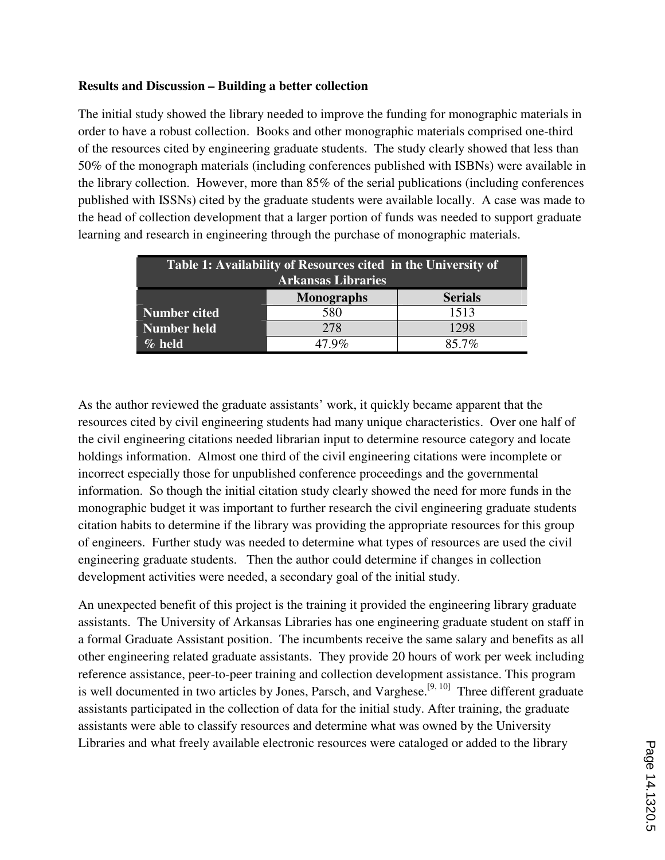### **Results and Discussion – Building a better collection**

The initial study showed the library needed to improve the funding for monographic materials in order to have a robust collection. Books and other monographic materials comprised one-third of the resources cited by engineering graduate students. The study clearly showed that less than 50% of the monograph materials (including conferences published with ISBNs) were available in the library collection. However, more than 85% of the serial publications (including conferences published with ISSNs) cited by the graduate students were available locally. A case was made to the head of collection development that a larger portion of funds was needed to support graduate learning and research in engineering through the purchase of monographic materials.

| Table 1: Availability of Resources cited in the University of<br><b>Arkansas Libraries</b> |                   |                |  |  |  |  |  |
|--------------------------------------------------------------------------------------------|-------------------|----------------|--|--|--|--|--|
|                                                                                            | <b>Monographs</b> | <b>Serials</b> |  |  |  |  |  |
| <b>Number cited</b>                                                                        | 580               | 1513           |  |  |  |  |  |
| <b>Number held</b>                                                                         | 278               | 1298           |  |  |  |  |  |
| $\%$ held                                                                                  | 7.9 $\%$          | $85.7\%$       |  |  |  |  |  |

As the author reviewed the graduate assistants' work, it quickly became apparent that the resources cited by civil engineering students had many unique characteristics. Over one half of the civil engineering citations needed librarian input to determine resource category and locate holdings information. Almost one third of the civil engineering citations were incomplete or incorrect especially those for unpublished conference proceedings and the governmental information. So though the initial citation study clearly showed the need for more funds in the monographic budget it was important to further research the civil engineering graduate students citation habits to determine if the library was providing the appropriate resources for this group of engineers. Further study was needed to determine what types of resources are used the civil engineering graduate students. Then the author could determine if changes in collection development activities were needed, a secondary goal of the initial study.

An unexpected benefit of this project is the training it provided the engineering library graduate assistants. The University of Arkansas Libraries has one engineering graduate student on staff in a formal Graduate Assistant position. The incumbents receive the same salary and benefits as all other engineering related graduate assistants. They provide 20 hours of work per week including reference assistance, peer-to-peer training and collection development assistance. This program is well documented in two articles by Jones, Parsch, and Varghese.<sup>[9, 10]</sup> Three different graduate assistants participated in the collection of data for the initial study. After training, the graduate assistants were able to classify resources and determine what was owned by the University Libraries and what freely available electronic resources were cataloged or added to the library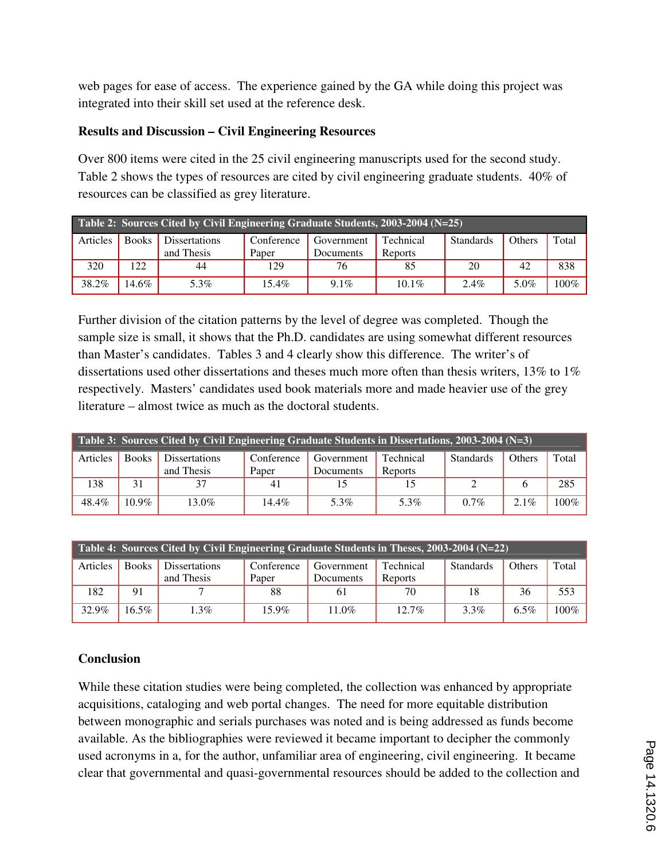web pages for ease of access. The experience gained by the GA while doing this project was integrated into their skill set used at the reference desk.

## **Results and Discussion – Civil Engineering Resources**

Over 800 items were cited in the 25 civil engineering manuscripts used for the second study. Table 2 shows the types of resources are cited by civil engineering graduate students. 40% of resources can be classified as grey literature.

| Table 2: Sources Cited by Civil Engineering Graduate Students, 2003-2004 (N=25) |              |                      |            |            |           |                  |               |         |  |  |
|---------------------------------------------------------------------------------|--------------|----------------------|------------|------------|-----------|------------------|---------------|---------|--|--|
| Articles                                                                        | <b>Books</b> | <b>Dissertations</b> | Conference | Government | Technical | <b>Standards</b> | <b>Others</b> | Total   |  |  |
|                                                                                 |              | and Thesis           | Paper      | Documents  | Reports   |                  |               |         |  |  |
| 320                                                                             | 122          | 44                   | 129        | 76         | 85        | 20               | 42            | 838     |  |  |
| 38.2%                                                                           | 14.6%        | 5.3%                 | $15.4\%$   | $9.1\%$    | 10.1\%    | $2.4\%$          | 5.0%          | $100\%$ |  |  |

Further division of the citation patterns by the level of degree was completed. Though the sample size is small, it shows that the Ph.D. candidates are using somewhat different resources than Master's candidates. Tables 3 and 4 clearly show this difference. The writer's of dissertations used other dissertations and theses much more often than thesis writers, 13% to 1% respectively. Masters' candidates used book materials more and made heavier use of the grey literature – almost twice as much as the doctoral students.

| Table 3: Sources Cited by Civil Engineering Graduate Students in Dissertations, 2003-2004 ( $N=3$ ) |              |                      |            |            |           |                  |               |       |  |  |
|-----------------------------------------------------------------------------------------------------|--------------|----------------------|------------|------------|-----------|------------------|---------------|-------|--|--|
| Articles                                                                                            | <b>Books</b> | <b>Dissertations</b> | Conference | Government | Technical | <b>Standards</b> | <b>Others</b> | Total |  |  |
|                                                                                                     |              | and Thesis           | Paper      | Documents  | Reports   |                  |               |       |  |  |
| 138                                                                                                 | 31           | 37                   | 41         |            |           |                  | h             | 285   |  |  |
| 48.4%                                                                                               | $10.9\%$     | 13.0%                | 14.4%      | 5.3%       | 5.3%      | $0.7\%$          | $2.1\%$       | 100%  |  |  |

| Table 4: Sources Cited by Civil Engineering Graduate Students in Theses, 2003-2004 (N=22) |              |                      |            |            |           |                  |               |       |  |  |
|-------------------------------------------------------------------------------------------|--------------|----------------------|------------|------------|-----------|------------------|---------------|-------|--|--|
| Articles                                                                                  | <b>Books</b> | <b>Dissertations</b> | Conference | Government | Technical | <b>Standards</b> | <b>Others</b> | Total |  |  |
|                                                                                           |              | and Thesis           | Paper      | Documents  | Reports   |                  |               |       |  |  |
| 182                                                                                       | 91           |                      | 88         | 61         | 70        | 18               | 36            | 553   |  |  |
| 32.9%                                                                                     | $16.5\%$     | $1.3\%$              | $15.9\%$   | 11.0%      | $12.7\%$  | 3.3%             | $6.5\%$       | 100%  |  |  |

## **Conclusion**

While these citation studies were being completed, the collection was enhanced by appropriate acquisitions, cataloging and web portal changes. The need for more equitable distribution between monographic and serials purchases was noted and is being addressed as funds become available. As the bibliographies were reviewed it became important to decipher the commonly used acronyms in a, for the author, unfamiliar area of engineering, civil engineering. It became clear that governmental and quasi-governmental resources should be added to the collection and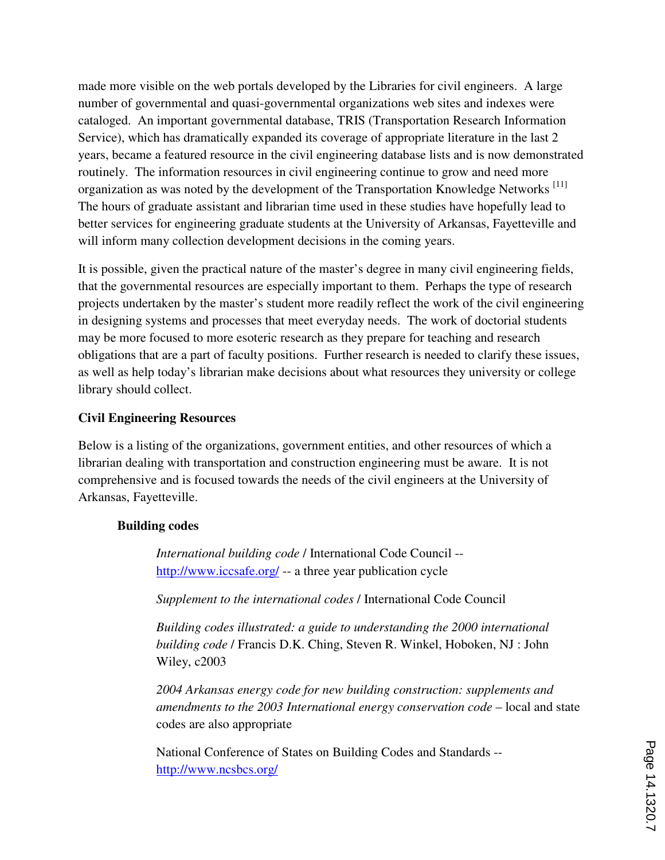made more visible on the web portals developed by the Libraries for civil engineers. A large number of governmental and quasi-governmental organizations web sites and indexes were cataloged. An important governmental database, TRIS (Transportation Research Information Service), which has dramatically expanded its coverage of appropriate literature in the last 2 years, became a featured resource in the civil engineering database lists and is now demonstrated routinely. The information resources in civil engineering continue to grow and need more organization as was noted by the development of the Transportation Knowledge Networks<sup>[11]</sup> The hours of graduate assistant and librarian time used in these studies have hopefully lead to better services for engineering graduate students at the University of Arkansas, Fayetteville and will inform many collection development decisions in the coming years.

It is possible, given the practical nature of the master's degree in many civil engineering fields, that the governmental resources are especially important to them. Perhaps the type of research projects undertaken by the master's student more readily reflect the work of the civil engineering in designing systems and processes that meet everyday needs. The work of doctorial students may be more focused to more esoteric research as they prepare for teaching and research obligations that are a part of faculty positions. Further research is needed to clarify these issues, as well as help today's librarian make decisions about what resources they university or college library should collect.

#### **Civil Engineering Resources**

Below is a listing of the organizations, government entities, and other resources of which a librarian dealing with transportation and construction engineering must be aware. It is not comprehensive and is focused towards the needs of the civil engineers at the University of Arkansas, Fayetteville.

#### **Building codes**

*International building code* / International Code Council - http://www.iccsafe.org/ -- a three year publication cycle

*Supplement to the international codes* / International Code Council

*Building codes illustrated: a guide to understanding the 2000 international building code* / Francis D.K. Ching, Steven R. Winkel, Hoboken, NJ : John Wiley, c2003

*2004 Arkansas energy code for new building construction: supplements and amendments to the 2003 International energy conservation code* – local and state codes are also appropriate

National Conference of States on Building Codes and Standards - http://www.ncsbcs.org/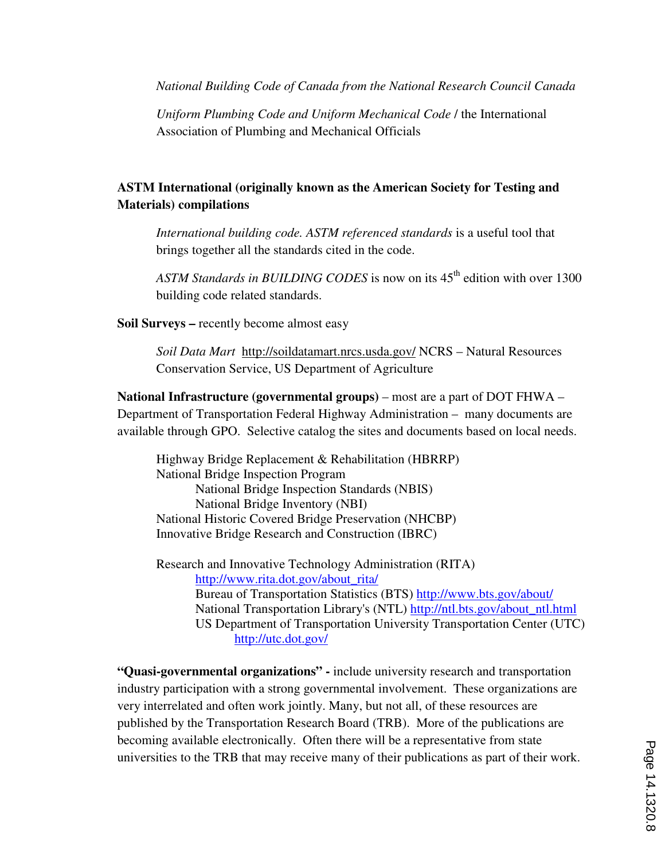*National Building Code of Canada from the National Research Council Canada* 

*Uniform Plumbing Code and Uniform Mechanical Code* / the International Association of Plumbing and Mechanical Officials

# **ASTM International (originally known as the American Society for Testing and Materials) compilations**

*International building code. ASTM referenced standards* is a useful tool that brings together all the standards cited in the code.

*ASTM Standards in BUILDING CODES* is now on its 45<sup>th</sup> edition with over 1300 building code related standards.

**Soil Surveys –** recently become almost easy

*Soil Data Mart* http://soildatamart.nrcs.usda.gov/ NCRS – Natural Resources Conservation Service, US Department of Agriculture

**National Infrastructure (governmental groups)** – most are a part of DOT FHWA – Department of Transportation Federal Highway Administration – many documents are available through GPO. Selective catalog the sites and documents based on local needs.

Highway Bridge Replacement & Rehabilitation (HBRRP) National Bridge Inspection Program National Bridge Inspection Standards (NBIS) National Bridge Inventory (NBI) National Historic Covered Bridge Preservation (NHCBP) Innovative Bridge Research and Construction (IBRC)

Research and Innovative Technology Administration (RITA) http://www.rita.dot.gov/about\_rita/ Bureau of Transportation Statistics (BTS) http://www.bts.gov/about/ National Transportation Library's (NTL) http://ntl.bts.gov/about\_ntl.html US Department of Transportation University Transportation Center (UTC) http://utc.dot.gov/

**"Quasi-governmental organizations" -** include university research and transportation industry participation with a strong governmental involvement. These organizations are very interrelated and often work jointly. Many, but not all, of these resources are published by the Transportation Research Board (TRB). More of the publications are becoming available electronically. Often there will be a representative from state universities to the TRB that may receive many of their publications as part of their work.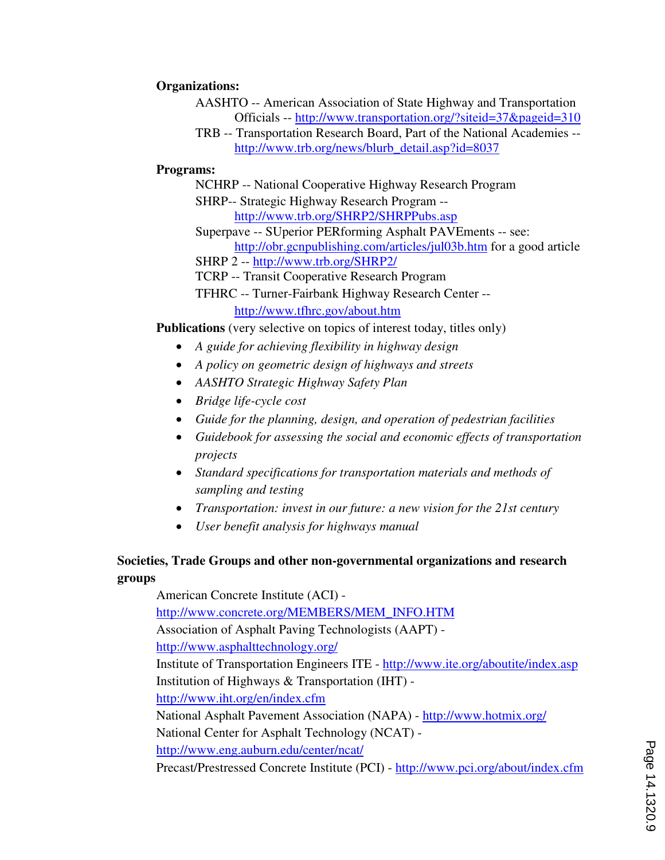### **Organizations:**

- AASHTO -- American Association of State Highway and Transportation Officials -- http://www.transportation.org/?siteid=37&pageid=310
- TRB -- Transportation Research Board, Part of the National Academies http://www.trb.org/news/blurb\_detail.asp?id=8037

### **Programs:**

- NCHRP -- National Cooperative Highway Research Program
- SHRP-- Strategic Highway Research Program http://www.trb.org/SHRP2/SHRPPubs.asp
- Superpave -- SUperior PERforming Asphalt PAVEments -- see: http://obr.gcnpublishing.com/articles/jul03b.htm for a good article
- SHRP 2 -- http://www.trb.org/SHRP2/
- TCRP -- Transit Cooperative Research Program
- TFHRC -- Turner-Fairbank Highway Research Center http://www.tfhrc.gov/about.htm

**Publications** (very selective on topics of interest today, titles only)

- ≠ *A guide for achieving flexibility in highway design*
- ≠ *A policy on geometric design of highways and streets*
- ≠ *AASHTO Strategic Highway Safety Plan*
- ≠ *Bridge life-cycle cost*
- ≠ *Guide for the planning, design, and operation of pedestrian facilities*
- ≠ *Guidebook for assessing the social and economic effects of transportation projects*
- ≠ *Standard specifications for transportation materials and methods of sampling and testing*
- ≠ *Transportation: invest in our future: a new vision for the 21st century*
- ≠ *User benefit analysis for highways manual*

## **Societies, Trade Groups and other non-governmental organizations and research groups**

American Concrete Institute (ACI) http://www.concrete.org/MEMBERS/MEM\_INFO.HTM Association of Asphalt Paving Technologists (AAPT) http://www.asphalttechnology.org/ Institute of Transportation Engineers ITE - http://www.ite.org/aboutite/index.asp Institution of Highways & Transportation (IHT) http://www.iht.org/en/index.cfm National Asphalt Pavement Association (NAPA) - http://www.hotmix.org/ National Center for Asphalt Technology (NCAT) http://www.eng.auburn.edu/center/ncat/ Precast/Prestressed Concrete Institute (PCI) - http://www.pci.org/about/index.cfm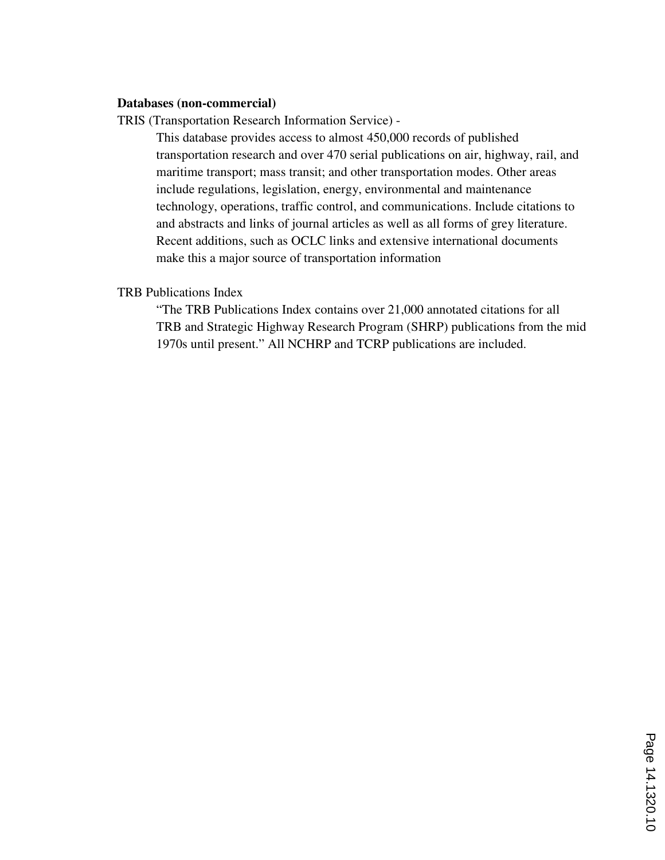#### **Databases (non-commercial)**

TRIS (Transportation Research Information Service) -

This database provides access to almost 450,000 records of published transportation research and over 470 serial publications on air, highway, rail, and maritime transport; mass transit; and other transportation modes. Other areas include regulations, legislation, energy, environmental and maintenance technology, operations, traffic control, and communications. Include citations to and abstracts and links of journal articles as well as all forms of grey literature. Recent additions, such as OCLC links and extensive international documents make this a major source of transportation information

#### TRB Publications Index

"The TRB Publications Index contains over 21,000 annotated citations for all TRB and Strategic Highway Research Program (SHRP) publications from the mid 1970s until present." All NCHRP and TCRP publications are included.